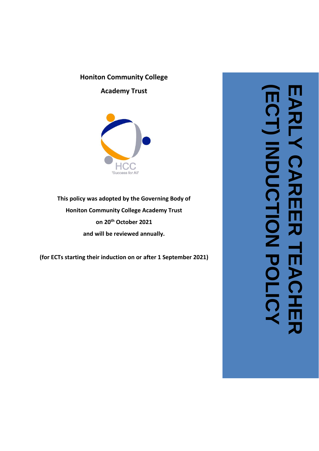### **Honiton Community College**

**Academy Trust**



**This policy was adopted by the Governing Body of Honiton Community College Academy Trust on 20th October 2021 and wil l be reviewed annually.**

**(for ECTs starting their induction on or after 1 September 202 1 )**

**(ECT) EARLY CAREER TEACHER INDUCTION POLICY**刀 **HAC**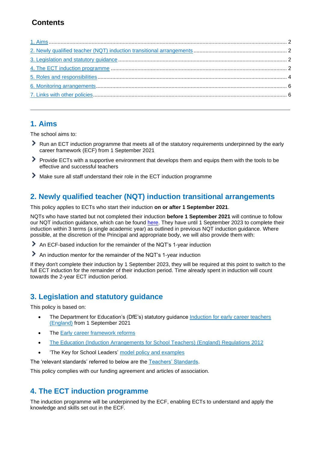# **Contents**

### <span id="page-1-0"></span>**1. Aims**

The school aims to:

- Run an ECT induction programme that meets all of the statutory requirements underpinned by the early career framework (ECF) from 1 September 2021
- ⋗ Provide ECTs with a supportive environment that develops them and equips them with the tools to be effective and successful teachers
- ⋗ Make sure all staff understand their role in the ECT induction programme

# <span id="page-1-1"></span>**2. Newly qualified teacher (NQT) induction transitional arrangements**

This policy applies to ECTs who start their induction **on or after 1 September 2021**.

NQTs who have started but not completed their induction **before 1 September 2021** will continue to follow our NQT induction guidance, which can be found [here.](https://www.gov.uk/government/publications/induction-for-newly-qualified-teachers-nqts) They have until 1 September 2023 to complete their induction within 3 terms (a single academic year) as outlined in previous NQT induction guidance. Where possible, at the discretion of the Principal and appropriate body, we will also provide them with:

- An ECF-based induction for the remainder of the NQT's 1-year induction
- An induction mentor for the remainder of the NQT's 1-year induction

If they don't complete their induction by 1 September 2023, they will be required at this point to switch to the full ECT induction for the remainder of their induction period. Time already spent in induction will count towards the 2-year ECT induction period.

# <span id="page-1-2"></span>**3. Legislation and statutory guidance**

This policy is based on:

- The Department for Education's (DfE's) statutory guidance [Induction for early career teachers](https://www.gov.uk/government/publications/induction-for-early-career-teachers-england)  [\(England\)](https://www.gov.uk/government/publications/induction-for-early-career-teachers-england) from 1 September 2021
- The [Early career framework](https://www.gov.uk/government/collections/early-career-framework-reforms) reforms
- [The Education \(Induction Arrangements for School Teachers\) \(England\) Regulations 2012](http://www.legislation.gov.uk/uksi/2012/1115/contents/made)
- 'The Key for School Leaders' [model policy and examples](https://schoolleaders.thekeysupport.com/policy-expert/staff/early-career-teacher-ect-induction-policy/)

The 'relevant standards' referred to below are the [Teachers' Standards.](https://www.gov.uk/government/publications/teachers-standards)

This policy complies with our funding agreement and articles of association.

# <span id="page-1-3"></span>**4. The ECT induction programme**

The induction programme will be underpinned by the ECF, enabling ECTs to understand and apply the knowledge and skills set out in the ECF.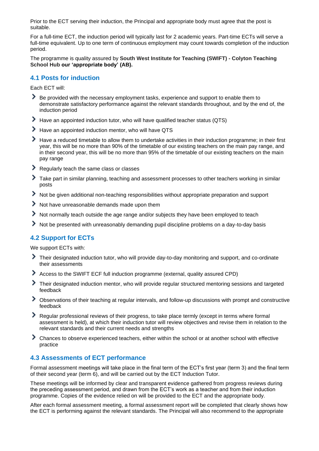Prior to the ECT serving their induction, the Principal and appropriate body must agree that the post is suitable.

For a full-time ECT, the induction period will typically last for 2 academic years. Part-time ECTs will serve a full-time equivalent. Up to one term of continuous employment may count towards completion of the induction period.

The programme is quality assured by **South West Institute for Teaching (SWIFT) - Colyton Teaching School Hub our 'appropriate body' (AB).**

#### **4.1 Posts for induction**

Each ECT will:

- Be provided with the necessary employment tasks, experience and support to enable them to demonstrate satisfactory performance against the relevant standards throughout, and by the end of, the induction period
- Have an appointed induction tutor, who will have qualified teacher status (QTS)
- ⋟ Have an appointed induction mentor, who will have QTS
- ⋗ Have a reduced timetable to allow them to undertake activities in their induction programme; in their first year, this will be no more than 90% of the timetable of our existing teachers on the main pay range, and in their second year, this will be no more than 95% of the timetable of our existing teachers on the main pay range
- ⋟ Regularly teach the same class or classes
- Take part in similar planning, teaching and assessment processes to other teachers working in similar posts
- ⋗ Not be given additional non-teaching responsibilities without appropriate preparation and support
- ⋟ Not have unreasonable demands made upon them
- ≻ Not normally teach outside the age range and/or subjects they have been employed to teach
- ⋗ Not be presented with unreasonably demanding pupil discipline problems on a day-to-day basis

### **4.2 Support for ECTs**

We support ECTs with:

- ⋗ Their designated induction tutor, who will provide day-to-day monitoring and support, and co-ordinate their assessments
- ⋟ Access to the SWIFT ECF full induction programme (external, quality assured CPD)
- ⋗ Their designated induction mentor, who will provide regular structured mentoring sessions and targeted feedback
- Observations of their teaching at regular intervals, and follow-up discussions with prompt and constructive feedback
- Regular professional reviews of their progress, to take place termly (except in terms where formal assessment is held), at which their induction tutor will review objectives and revise them in relation to the relevant standards and their current needs and strengths
- Chances to observe experienced teachers, either within the school or at another school with effective practice

#### **4.3 Assessments of ECT performance**

Formal assessment meetings will take place in the final term of the ECT's first year (term 3) and the final term of their second year (term 6), and will be carried out by the ECT Induction Tutor.

These meetings will be informed by clear and transparent evidence gathered from progress reviews during the preceding assessment period, and drawn from the ECT's work as a teacher and from their induction programme. Copies of the evidence relied on will be provided to the ECT and the appropriate body.

After each formal assessment meeting, a formal assessment report will be completed that clearly shows how the ECT is performing against the relevant standards. The Principal will also recommend to the appropriate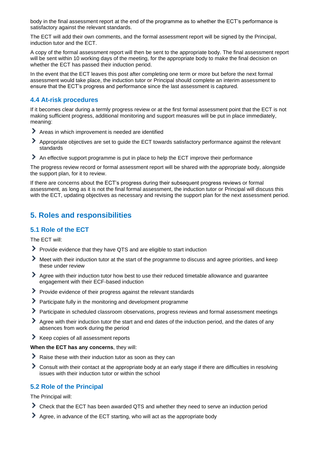body in the final assessment report at the end of the programme as to whether the ECT's performance is satisfactory against the relevant standards.

The ECT will add their own comments, and the formal assessment report will be signed by the Principal, induction tutor and the ECT.

A copy of the formal assessment report will then be sent to the appropriate body. The final assessment report will be sent within 10 working days of the meeting, for the appropriate body to make the final decision on whether the ECT has passed their induction period.

In the event that the ECT leaves this post after completing one term or more but before the next formal assessment would take place, the induction tutor or Principal should complete an interim assessment to ensure that the ECT's progress and performance since the last assessment is captured.

### **4.4 At-risk procedures**

If it becomes clear during a termly progress review or at the first formal assessment point that the ECT is not making sufficient progress, additional monitoring and support measures will be put in place immediately, meaning:

- Areas in which improvement is needed are identified
- ⋟ Appropriate objectives are set to guide the ECT towards satisfactory performance against the relevant standards
- An effective support programme is put in place to help the ECT improve their performance

The progress review record or formal assessment report will be shared with the appropriate body, alongside the support plan, for it to review.

If there are concerns about the ECT's progress during their subsequent progress reviews or formal assessment, as long as it is not the final formal assessment, the induction tutor or Principal will discuss this with the ECT, updating objectives as necessary and revising the support plan for the next assessment period.

# <span id="page-3-0"></span>**5. Roles and responsibilities**

### **5.1 Role of the ECT**

The ECT will:

- Provide evidence that they have QTS and are eligible to start induction
- ⋗ Meet with their induction tutor at the start of the programme to discuss and agree priorities, and keep these under review
- Agree with their induction tutor how best to use their reduced timetable allowance and guarantee engagement with their ECF-based induction
- Provide evidence of their progress against the relevant standards
- Participate fully in the monitoring and development programme
- Participate in scheduled classroom observations, progress reviews and formal assessment meetings
- ⋟ Agree with their induction tutor the start and end dates of the induction period, and the dates of any absences from work during the period
- Keep copies of all assessment reports

#### **When the ECT has any concerns**, they will:

- Raise these with their induction tutor as soon as they can
- ⋟ Consult with their contact at the appropriate body at an early stage if there are difficulties in resolving issues with their induction tutor or within the school

### **5.2 Role of the Principal**

The Principal will:

- Check that the ECT has been awarded QTS and whether they need to serve an induction period
- Agree, in advance of the ECT starting, who will act as the appropriate body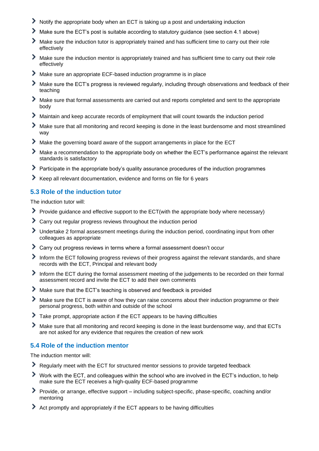- Notify the appropriate body when an ECT is taking up a post and undertaking induction
- ⋗ Make sure the ECT's post is suitable according to statutory guidance (see section 4.1 above)
- ゝ Make sure the induction tutor is appropriately trained and has sufficient time to carry out their role effectively
- ⋗ Make sure the induction mentor is appropriately trained and has sufficient time to carry out their role effectively
- ⋗ Make sure an appropriate ECF-based induction programme is in place
- ≻ Make sure the ECT's progress is reviewed regularly, including through observations and feedback of their teaching
- Make sure that formal assessments are carried out and reports completed and sent to the appropriate body
- ⋗ Maintain and keep accurate records of employment that will count towards the induction period
- ≻ Make sure that all monitoring and record keeping is done in the least burdensome and most streamlined way
- ⋗ Make the governing board aware of the support arrangements in place for the ECT
- ゝ Make a recommendation to the appropriate body on whether the ECT's performance against the relevant standards is satisfactory
- ⋟ Participate in the appropriate body's quality assurance procedures of the induction programmes
- Keep all relevant documentation, evidence and forms on file for 6 years

### **5.3 Role of the induction tutor**

The induction tutor will:

- ⋗ Provide guidance and effective support to the ECT(with the appropriate body where necessary)
- ⋟ Carry out regular progress reviews throughout the induction period
- Undertake 2 formal assessment meetings during the induction period, coordinating input from other colleagues as appropriate
- ⋗ Carry out progress reviews in terms where a formal assessment doesn't occur
- ⋟ Inform the ECT following progress reviews of their progress against the relevant standards, and share records with the ECT, Principal and relevant body
- Inform the ECT during the formal assessment meeting of the judgements to be recorded on their formal assessment record and invite the ECT to add their own comments
- ⋗ Make sure that the ECT's teaching is observed and feedback is provided
- ⋟ Make sure the ECT is aware of how they can raise concerns about their induction programme or their personal progress, both within and outside of the school
- ⋟ Take prompt, appropriate action if the ECT appears to be having difficulties
- ⋟ Make sure that all monitoring and record keeping is done in the least burdensome way, and that ECTs are not asked for any evidence that requires the creation of new work

#### **5.4 Role of the induction mentor**

The induction mentor will:

- Regularly meet with the ECT for structured mentor sessions to provide targeted feedback
- Work with the ECT, and colleagues within the school who are involved in the ECT's induction, to help make sure the ECT receives a high-quality ECF-based programme
- ⋗ Provide, or arrange, effective support – including subject-specific, phase-specific, coaching and/or mentoring
- ⋗ Act promptly and appropriately if the ECT appears to be having difficulties